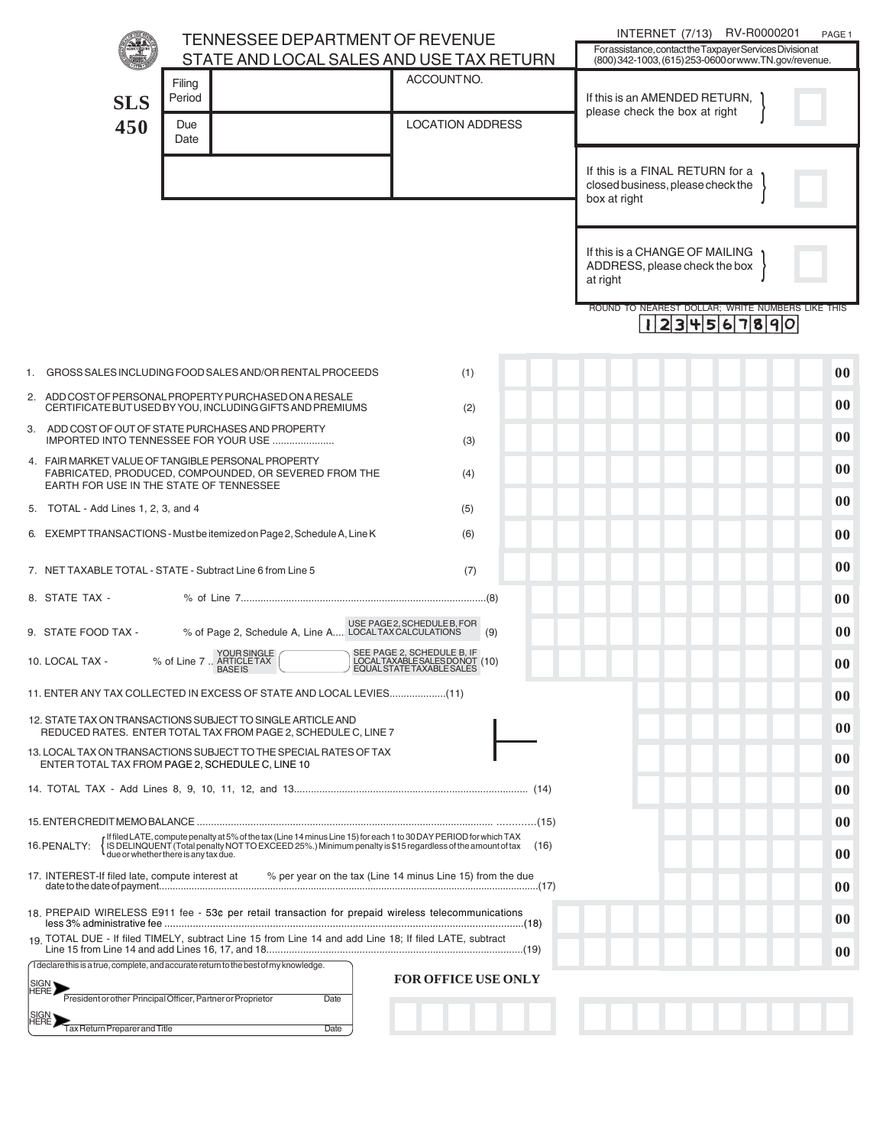|                                                                                                                                                                                                                                                                                               | TENNESSEE DEPARTMENT OF REVENUE                                                                                                                             |                                                                                     | INTERNET (7/13) RV-R0000201<br>PAGE 1                                                                              |        |
|-----------------------------------------------------------------------------------------------------------------------------------------------------------------------------------------------------------------------------------------------------------------------------------------------|-------------------------------------------------------------------------------------------------------------------------------------------------------------|-------------------------------------------------------------------------------------|--------------------------------------------------------------------------------------------------------------------|--------|
|                                                                                                                                                                                                                                                                                               | STATE AND LOCAL SALES AND USE TAX RETURN                                                                                                                    |                                                                                     | For assistance, contact the Taxpayer Services Division at<br>(800) 342-1003, (615) 253-0600 or www.TN.gov/revenue. |        |
| <b>SLS</b>                                                                                                                                                                                                                                                                                    | Filing<br>Period                                                                                                                                            | ACCOUNTNO.<br><b>LOCATION ADDRESS</b>                                               | If this is an AMENDED RETURN,<br>please check the box at right                                                     |        |
| 450                                                                                                                                                                                                                                                                                           | Due<br>Date                                                                                                                                                 |                                                                                     |                                                                                                                    |        |
|                                                                                                                                                                                                                                                                                               |                                                                                                                                                             |                                                                                     | If this is a FINAL RETURN for a<br>closed business, please check the<br>box at right                               |        |
|                                                                                                                                                                                                                                                                                               |                                                                                                                                                             |                                                                                     | If this is a CHANGE OF MAILING<br>ADDRESS, please check the box<br>at right                                        |        |
|                                                                                                                                                                                                                                                                                               |                                                                                                                                                             |                                                                                     | ROUND TO NEAREST DOLLAR; WRITE NUMBERS LIKE THIS<br>234567890                                                      |        |
| 1.                                                                                                                                                                                                                                                                                            | GROSS SALES INCLUDING FOOD SALES AND/OR RENTAL PROCEEDS                                                                                                     | (1)                                                                                 |                                                                                                                    | 00     |
|                                                                                                                                                                                                                                                                                               | 2. ADD COST OF PERSONAL PROPERTY PURCHASED ON A RESALE<br>CERTIFICATE BUT USED BY YOU, INCLUDING GIFTS AND PREMIUMS                                         | (2)                                                                                 |                                                                                                                    | 00     |
|                                                                                                                                                                                                                                                                                               | 3. ADD COST OF OUT OF STATE PURCHASES AND PROPERTY<br>IMPORTED INTO TENNESSEE FOR YOUR USE                                                                  | (3)                                                                                 |                                                                                                                    | 00     |
|                                                                                                                                                                                                                                                                                               | 4. FAIR MARKET VALUE OF TANGIBLE PERSONAL PROPERTY<br>FABRICATED, PRODUCED, COMPOUNDED, OR SEVERED FROM THE<br>EARTH FOR USE IN THE STATE OF TENNESSEE      | (4)                                                                                 |                                                                                                                    | 00     |
| 5. TOTAL - Add Lines 1, 2, 3, and 4                                                                                                                                                                                                                                                           |                                                                                                                                                             | (5)                                                                                 |                                                                                                                    | 00     |
|                                                                                                                                                                                                                                                                                               | 6. EXEMPT TRANSACTIONS - Must be itemized on Page 2, Schedule A, Line K                                                                                     | (6)                                                                                 |                                                                                                                    | 00     |
|                                                                                                                                                                                                                                                                                               | 7. NET TAXABLE TOTAL - STATE - Subtract Line 6 from Line 5                                                                                                  | (7)                                                                                 |                                                                                                                    | 00     |
| 8. STATE TAX -                                                                                                                                                                                                                                                                                |                                                                                                                                                             |                                                                                     |                                                                                                                    | 00     |
| 9. STATE FOOD TAX -                                                                                                                                                                                                                                                                           | USE PAGE2, SCHEDULE B, FOR<br>LOCAL TAX CALCULATIONS 4. LOCAL TAX CALCULATIONS                                                                              | (9)                                                                                 |                                                                                                                    | $00\,$ |
| 10. LOCAL TAX -                                                                                                                                                                                                                                                                               | YOURSINGLE<br>% of Line 7  ARTICLE TAX<br><b>BASEIS</b>                                                                                                     | SEE PAGE 2, SCHEDULE B, IF<br>LOCALTAXABLESALESDONOT (10)<br>EQUALSTATETAXABLESALES |                                                                                                                    | $00\,$ |
| 11) ENTER ANY TAX COLLECTED IN EXCESS OF STATE AND LOCAL LEVIES(11)                                                                                                                                                                                                                           |                                                                                                                                                             |                                                                                     |                                                                                                                    |        |
| 12. STATE TAX ON TRANSACTIONS SUBJECT TO SINGLE ARTICLE AND<br>REDUCED RATES. ENTER TOTAL TAX FROM PAGE 2, SCHEDULE C, LINE 7                                                                                                                                                                 |                                                                                                                                                             |                                                                                     |                                                                                                                    | 00     |
| 13. LOCAL TAX ON TRANSACTIONS SUBJECT TO THE SPECIAL RATES OF TAX<br>ENTER TOTAL TAX FROM PAGE 2, SCHEDULE C, LINE 10                                                                                                                                                                         |                                                                                                                                                             |                                                                                     |                                                                                                                    | 00     |
|                                                                                                                                                                                                                                                                                               |                                                                                                                                                             |                                                                                     |                                                                                                                    | 00     |
|                                                                                                                                                                                                                                                                                               |                                                                                                                                                             |                                                                                     |                                                                                                                    |        |
| If filed LATE, compute penalty at 5% of the tax (Line 14 minus Line 15) for each 1 to 30 DAY PERIOD for which TAX<br>IS DELINQUENT (Total penalty NOT TO EXCEED 25%.) Minimum penalty is \$15 regardless of the amount of tax<br>16. PENALTY:<br>(16)<br>due or whether there is any tax due. |                                                                                                                                                             |                                                                                     |                                                                                                                    | 00     |
| 17. INTEREST-If filed late, compute interest at<br>% per year on the tax (Line 14 minus Line 15) from the due                                                                                                                                                                                 |                                                                                                                                                             |                                                                                     |                                                                                                                    | 00     |
| 18. PREPAID WIRELESS E911 fee - 53¢ per retail transaction for prepaid wireless telecommunications                                                                                                                                                                                            |                                                                                                                                                             |                                                                                     |                                                                                                                    |        |
| 19. TOTAL DUE - If filed TIMELY, subtract Line 15 from Line 14 and add Line 18; If filed LATE, subtract                                                                                                                                                                                       |                                                                                                                                                             |                                                                                     |                                                                                                                    |        |
|                                                                                                                                                                                                                                                                                               | I declare this is a true, complete, and accurate return to the best of my knowledge.<br>President or other Principal Officer, Partner or Proprietor<br>Date | <b>FOR OFFICE USE ONLY</b>                                                          |                                                                                                                    |        |
| Tax Return Preparer and Title                                                                                                                                                                                                                                                                 | Date                                                                                                                                                        |                                                                                     |                                                                                                                    |        |